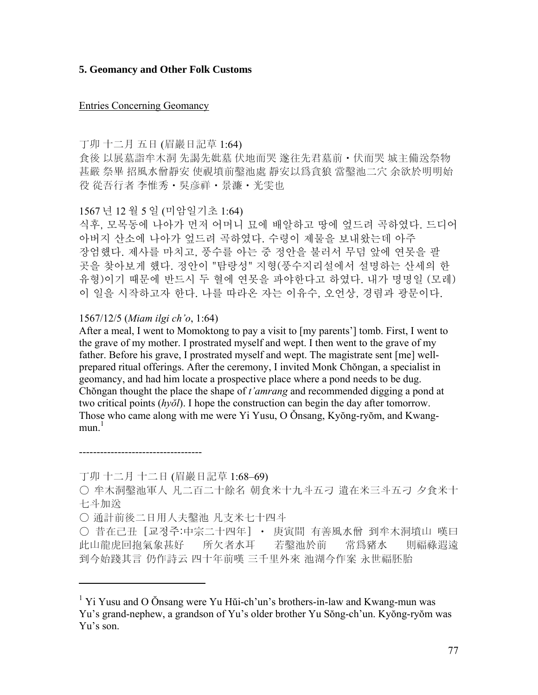#### **5. Geomancy and Other Folk Customs**

#### Entries Concerning Geomancy

丁卯 十二月 五日 (眉巖日記草 1:64)

食後 以展墓詣牟木洞 先謁先妣墓 伏地而哭 遂往先君墓前・伏而哭 城主備送祭物 甚嚴 祭畢 招風水僧靜安 使視墳前鑿池處 靜安以爲貪狼 當鑿池二穴 余欲於明明始 役 從吾行者 李惟秀・吳彦祥・景濂・光雯也

#### 1567 년 12 월 5 일 (미암일기초 1:64)

식후, 모목동에 나아가 먼저 어머니 묘에 배알하고 땅에 엎드려 곡하였다. 드디어 아버지 산소에 나아가 엎드려 곡하였다. 수령이 제물을 보내왔는데 아주 장엄했다. 제사를 마치고, 풍수를 아는 중 정안을 불러서 무덤 앞에 연못을 팔 곳을 찾아보게 했다. 정안이 "탐랑성" 지형(풍수지리설에서 설명하는 산세의 한 유형)이기 때문에 반드시 두 혈에 연못을 파야한다고 하였다. 내가 명명일 (모레) 이 일을 시작하고자 한다. 나를 따라온 자는 이유수, 오언상, 경렴과 광문이다.

#### 1567/12/5 (*Miam ilgi ch'o*, 1:64)

After a meal, I went to Momoktong to pay a visit to [my parents'] tomb. First, I went to the grave of my mother. I prostrated myself and wept. I then went to the grave of my father. Before his grave, I prostrated myself and wept. The magistrate sent [me] wellprepared ritual offerings. After the ceremony, I invited Monk Chŏngan, a specialist in geomancy, and had him locate a prospective place where a pond needs to be dug. Chŏngan thought the place the shape of *t'amrang* and recommended digging a pond at two critical points (*hyŏl*). I hope the construction can begin the day after tomorrow. Those who came along with me were Yi Yusu, O Onsang, Kyŏng-ryŏm, and Kwangmun $<sup>1</sup>$ </sup>

丁卯 十二月 十二日 (眉巖日記草 1:68–69)

-----------------------------------

 $\overline{a}$ 

○ 通計前後二日用人夫鑿池 凡支米七十四斗

○ 昔在己丑 [교정주:中宗二十四年] • 庚寅間 有善風水僧 到牟木洞墳山 嘆曰 此山龍虎回抱氣象甚好 所欠者水耳 若鑿池於前 常爲豬水 則福祿遐遠 到今始踐其言 仍作詩云 四十年前嘆 三千里外來 池湖今作案 永世福胚胎

<sup>○</sup> 牟木洞鑿池軍人 凡二百二十餘名 朝食米十九斗五刁 遺在米三斗五刁 夕食米十 七斗加送

<sup>&</sup>lt;sup>1</sup> Yi Yusu and O Önsang were Yu Hŭi-ch'un's brothers-in-law and Kwang-mun was Yu's grand-nephew, a grandson of Yu's older brother Yu Sŏng-ch'un. Kyŏng-ryŏm was Yu's son.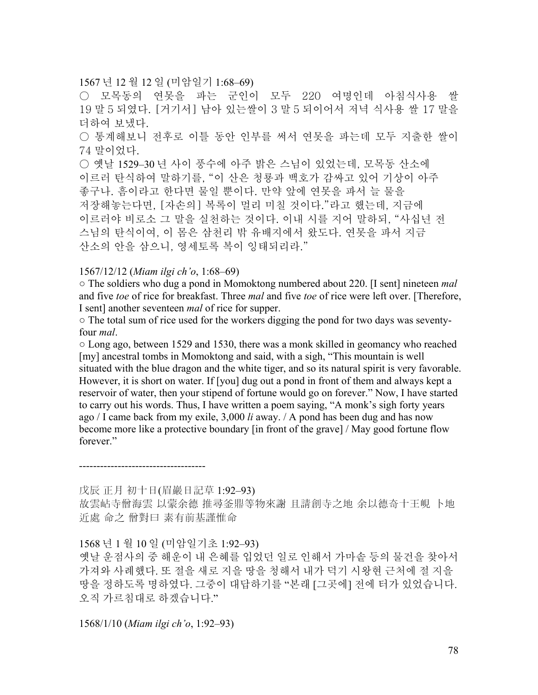# 1567 년 12 월 12 일 (미암일기 1:68–69)

○ 모목동의 연못을 파는 군인이 모두 220 여명인데 아침식사용 쌀 19 말 5 되였다. [거기서] 남아 있는쌀이 3 말 5 되이어서 저녁 식사용 쌀 17 말을 더하여 보냈다.

○ 통계해보니 전후로 이틀 동안 인부를 써서 연못을 파는데 모두 지출한 쌀이 74 말이었다.

○ 옛날 1529-30 년 사이 풍수에 아주 밝은 스님이 있었는데, 모목동 산소에 이르러 탄식하여 말하기를, "이 산은 청룡과 백호가 감싸고 있어 기상이 아주 좋구나. 흠이라고 한다면 물일 뿐이다. 만약 앞에 연못을 파서 늘 물을 저장해놓는다면, [자손의] 복록이 멀리 미칠 것이다."라고 했는데, 지금에 이르러야 비로소 그 말을 실천하는 것이다. 이내 시를 지어 말하되, "사십년 전 스님의 탄식이여, 이 몸은 삼천리 밖 유배지에서 왔도다. 연못을 파서 지금 산소의 안을 삼으니, 영세토록 복이 잉태되리라."

#### 1567/12/12 (*Miam ilgi ch'o*, 1:68–69)

○ The soldiers who dug a pond in Momoktong numbered about 220. [I sent] nineteen *mal*  and five *toe* of rice for breakfast. Three *mal* and five *toe* of rice were left over. [Therefore, I sent] another seventeen *mal* of rice for supper.

○ The total sum of rice used for the workers digging the pond for two days was seventyfour *mal*.

 $\circ$  Long ago, between 1529 and 1530, there was a monk skilled in geomancy who reached [my] ancestral tombs in Momoktong and said, with a sigh, "This mountain is well situated with the blue dragon and the white tiger, and so its natural spirit is very favorable. However, it is short on water. If [you] dug out a pond in front of them and always kept a reservoir of water, then your stipend of fortune would go on forever." Now, I have started to carry out his words. Thus, I have written a poem saying, "A monk's sigh forty years ago / I came back from my exile, 3,000 *li* away. / A pond has been dug and has now become more like a protective boundary [in front of the grave] / May good fortune flow forever."

------------------------------------

戊辰 正月 初十日(眉巖日記草 1:92–93) 故雲岾寺僧海雲 以蒙余德 推尋釜鼎等物來謝 且請創寺之地 余以德奇十王峴 卜地 近處 命之 僧對曰 素有前基謹惟命

1568 년 1 월 10 일 (미암일기초 1:92–93) 옛날 운점사의 중 해운이 내 은혜를 입었던 일로 인해서 가마솥 등의 물건을 찾아서 가져와 사례했다. 또 절을 새로 지을 땅을 청해서 내가 덕기 시왕현 근처에 절 지을 땅을 정하도록 명하였다. 그중이 대답하기를 "본래 [그곳에] 전에 터가 있었습니다. 오직 가르침대로 하겠습니다."

1568/1/10 (*Miam ilgi ch'o*, 1:92–93)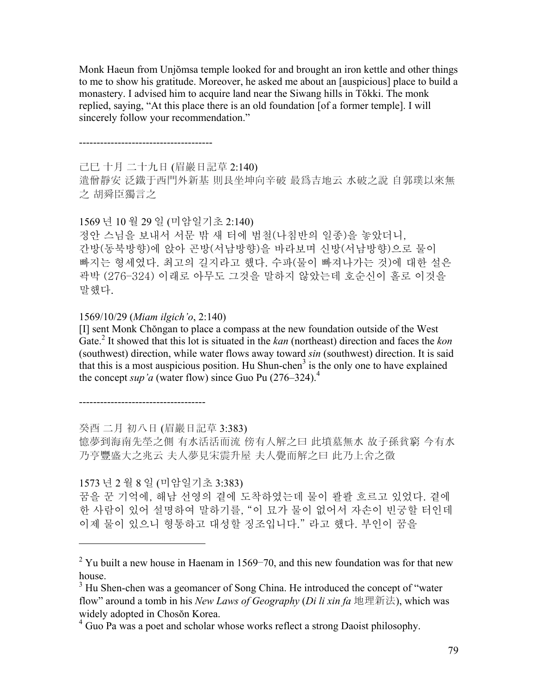Monk Haeun from Unjŏmsa temple looked for and brought an iron kettle and other things to me to show his gratitude. Moreover, he asked me about an [auspicious] place to build a monastery. I advised him to acquire land near the Siwang hills in Tŏkki. The monk replied, saying, "At this place there is an old foundation [of a former temple]. I will sincerely follow your recommendation."

--------------------------------------

己巳 十月 二十九日 (眉巖日記草 2:140)

遣僧靜安 泛鐵于西門外新基 則艮坐坤向辛破 最爲吉地云 水破之說 自郭璞以來無 之 胡舜臣獨言之

1569 년 10 월 29 일 (미암일기초 2:140)

정안 스님을 보내서 서문 밖 새 터에 범철(나침반의 일종)을 놓았더니, 간방(동북방향)에 앉아 곤방(서남방향)을 바라보며 신방(서남방향)으로 물이 빠지는 형세였다. 최고의 길지라고 했다. 수파(물이 빠져나가는 것)에 대한 설은 곽박 (276–324) 이래로 아무도 그것을 말하지 않았는데 호순신이 홀로 이것을 말했다.

1569/10/29 (*Miam ilgich'o*, 2:140)

[I] sent Monk Chŏngan to place a compass at the new foundation outside of the West Gate.2 It showed that this lot is situated in the *kan* (northeast) direction and faces the *kon* (southwest) direction, while water flows away toward *sin* (southwest) direction. It is said that this is a most auspicious position. Hu Shun-chen<sup>3</sup> is the only one to have explained the concept *sup'a* (water flow) since Guo Pu  $(276-324)^4$ .

------------------------------------

 $\overline{a}$ 

癸酉 二月 初八日 (眉巖日記草 3:383)

憶夢到海南先塋之側 有水活活而流 傍有人解之曰 此墳墓無水 故子孫貧窮 今有水 乃亨豐盛大之兆云 夫人夢見宋震升屋 夫人覺而解之曰 此乃上舍之徵

1573 년 2 월 8 일 (미암일기초 3:383)

꿈을 꾼 기억에, 해남 선영의 곁에 도착하였는데 물이 콸콸 흐르고 있었다. 곁에 한 사람이 있어 설명하여 말하기를, "이 묘가 물이 없어서 자손이 빈궁할 터인데 이제 물이 있으니 형통하고 대성할 징조입니다." 라고 했다. 부인이 꿈을

<sup>&</sup>lt;sup>2</sup> Yu built a new house in Haenam in 1569–70, and this new foundation was for that new house.

<sup>&</sup>lt;sup>3</sup> Hu Shen-chen was a geomancer of Song China. He introduced the concept of "water" flow" around a tomb in his *New Laws of Geography* (*Di li xin fa* 地理新法), which was widely adopted in Chosŏn Korea.

<sup>&</sup>lt;sup>4</sup> Guo Pa was a poet and scholar whose works reflect a strong Daoist philosophy.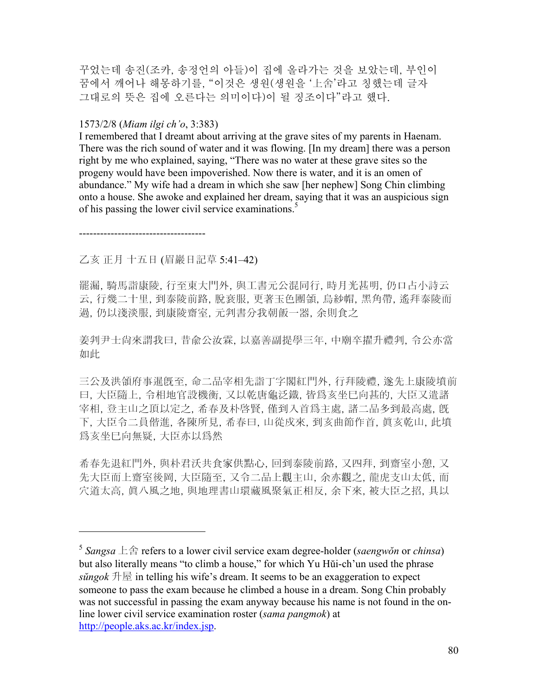꾸었는데 송진(조카, 송정언의 아들)이 집에 올라가는 것을 보았는데, 부인이 꿈에서 깨어나 해몽하기를, "이것은 생원(생원을 '上舍'라고 칭했는데 글자 그대로의 뜻은 집에 오른다는 의미이다)이 될 징조이다"라고 했다.

#### 1573/2/8 (*Miam ilgi ch'o*, 3:383)

I remembered that I dreamt about arriving at the grave sites of my parents in Haenam. There was the rich sound of water and it was flowing. [In my dream] there was a person right by me who explained, saying, "There was no water at these grave sites so the progeny would have been impoverished. Now there is water, and it is an omen of abundance." My wife had a dream in which she saw [her nephew] Song Chin climbing onto a house. She awoke and explained her dream, saying that it was an auspicious sign of his passing the lower civil service examinations.<sup>5</sup>

------------------------------------

1

#### 乙亥 正月 十五日 (眉巖日記草 5:41–42)

罷漏, 騎馬詣康陵, 行至東大門外, 與工書元公混同行, 時月光甚明, 仍口占小詩云 云, 行幾二十里, 到泰陵前路, 脫衰服, 更著玉色團領, 烏紗帽, 黑角帶, 遙拜泰陵而 過, 仍以淺淡服, 到康陵齋室, 元判書分我朝飯一器, 余則食之

姜判尹士尙來謂我曰, 昔兪公汝霖, 以嘉善副提學三年, 中廟卒擢升禮判, 令公亦當 如此

三公及洪領府事暹旣至, 命二品宰相先詣丁字閣紅門外, 行拜陵禮, 遂先上康陵墳前 曰, 大臣隨上, 令相地官設機衡, 又以乾唐龜泛鐵, 皆爲亥坐巳向甚的, 大臣又遣諸 宰相, 登主山之頂以定之, 希春及朴啓賢, 僅到入首爲主處, 諸二品多到最高處, 旣 下, 大臣令二員偕進, 各陳所見, 希春曰, 山從戍來, 到亥曲節作首, 眞亥乾山, 此墳 爲亥坐巳向無疑, 大臣亦以爲然

希春先退紅門外, 與朴君沃共食家供點心, 回到泰陵前路, 又四拜, 到齋室小憩, 又 先大臣而上齋室後岡, 大臣隨至, 又令二品上觀主山, 余亦觀之, 龍虎支山太低, 而 穴道太高, 眞八風之地, 與地理書山環藏風聚氣正相反, 余下來, 被大臣之招, 具以

<sup>5</sup> *Sangsa* 上舍 refers to a lower civil service exam degree-holder (*saengwŏn* or *chinsa*) but also literally means "to climb a house," for which Yu Hŭi-ch'un used the phrase *sŭngok* 升屋 in telling his wife's dream. It seems to be an exaggeration to expect someone to pass the exam because he climbed a house in a dream. Song Chin probably was not successful in passing the exam anyway because his name is not found in the online lower civil service examination roster (*sama pangmok*) at http://people.aks.ac.kr/index.jsp.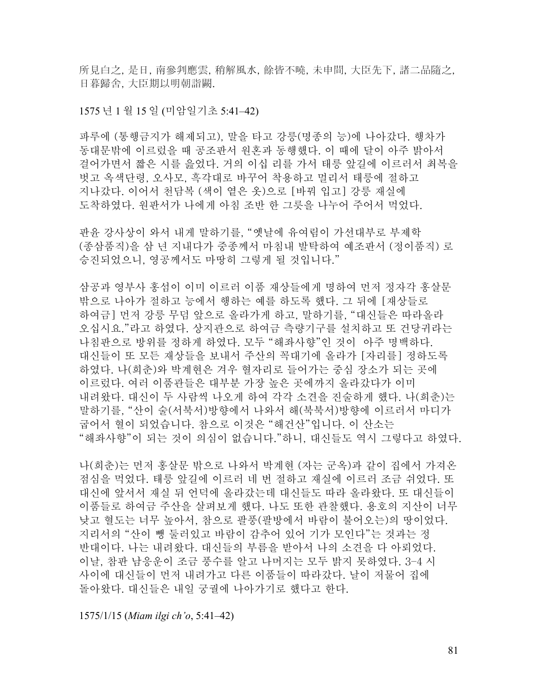所見白之, 是日, 南參判應雲, 稍解風水, 餘皆不曉, 未申間, 大臣先下, 諸二品隨之, 日暮歸舍, 大臣期以明朝詣闕.

#### 1575 년 1 월 15 일 (미암일기초 5:41–42)

파루에 (통행금지가 해제되고), 말을 타고 강릉(명종의 능)에 나아갔다. 행차가 동대문밖에 이르렀을 때 공조판서 원혼과 동행했다. 이 때에 달이 아주 밝아서 걸어가면서 짧은 시를 읊었다. 거의 이십 리를 가서 태릉 앞길에 이르러서 최복을 벗고 옥색단령, 오사모, 흑각대로 바꾸어 착용하고 멀리서 태릉에 절하고 지나갔다. 이어서 천담복 (색이 옅은 옷)으로 [바꿔 입고] 강릉 재실에 도착하였다. 원판서가 나에게 아침 조반 한 그릇을 나누어 주어서 먹었다.

판윤 강사상이 와서 내게 말하기를, "옛날에 유여림이 가선대부로 부제학 (종삼품직)을 삼 년 지내다가 중종께서 마침내 발탁하여 예조판서 (정이품직) 로 승진되었으니, 영공께서도 마땅히 그렇게 될 것입니다."

삼공과 영부사 홍섬이 이미 이르러 이품 재상들에게 명하여 먼저 정자각 홍살문 밖으로 나아가 절하고 능에서 행하는 예를 하도록 했다. 그 뒤에 [재상들로 하여금] 먼저 강릉 무덤 앞으로 올라가게 하고, 말하기를, "대신들은 따라올라 오십시요."라고 하였다. 상지관으로 하여금 측량기구를 설치하고 또 건당귀라는 나침판으로 방위를 정하게 하였다. 모두 "해좌사향"인 것이 아주 명백하다. 대신들이 또 모든 재상들을 보내서 주산의 꼭대기에 올라가 [자리를] 정하도록 하였다. 나(희춘)와 박계현은 겨우 혈자리로 들어가는 중심 장소가 되는 곳에 이르렀다. 여러 이품관들은 대부분 가장 높은 곳에까지 올라갔다가 이미 내려왔다. 대신이 두 사람씩 나오게 하여 각각 소견을 진술하게 했다. 나(희춘)는 말하기를, "산이 술(서북서)방향에서 나와서 해(북북서)방향에 이르러서 마디가 굽어서 혈이 되었습니다. 참으로 이것은 "해건산"입니다. 이 산소는 "해좌사향"이 되는 것이 의심이 없습니다."하니, 대신들도 역시 그렇다고 하였다.

나(희춘)는 먼저 홍살문 밖으로 나와서 박계현 (자는 군옥)과 같이 집에서 가져온 점심을 먹었다. 태릉 앞길에 이르러 네 번 절하고 재실에 이르러 조금 쉬었다. 또 대신에 앞서서 재실 뒤 언덕에 올라갔는데 대신들도 따라 올라왔다. 또 대신들이 이품들로 하여금 주산을 살펴보게 했다. 나도 또한 관찰했다. 용호의 지산이 너무 낮고 혈도는 너무 높아서, 참으로 팔풍(팔방에서 바람이 불어오는)의 땅이었다. 지리서의 "산이 뺑 둘러있고 바람이 감추어 있어 기가 모인다"는 것과는 정 반대이다. 나는 내려왔다. 대신들의 부름을 받아서 나의 소견을 다 아뢰었다. 이날, 참판 남응운이 조금 풍수를 알고 나머지는 모두 밝지 못하였다. 3–4 시 사이에 대신들이 먼저 내려가고 다른 이품들이 따라갔다. 날이 저물어 집에 돌아왔다. 대신들은 내일 궁궐에 나아가기로 했다고 한다.

1575/1/15 (*Miam ilgi ch'o*, 5:41–42)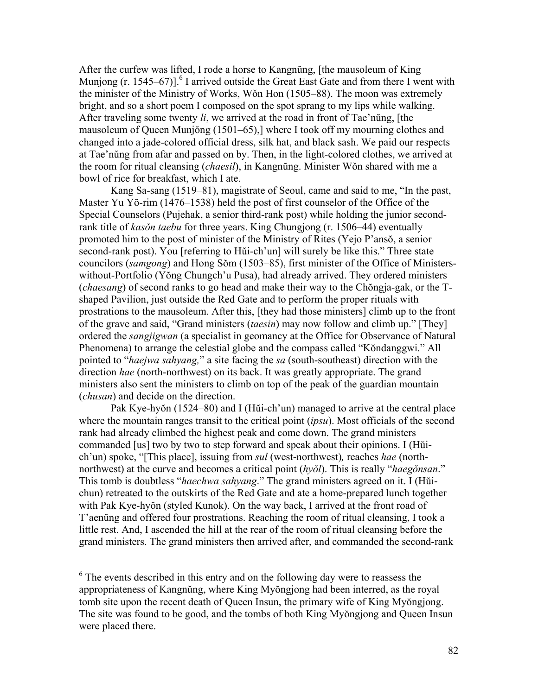After the curfew was lifted, I rode a horse to Kangnŭng, [the mausoleum of King Munjong (r. 1545–67)]. $\frac{6}{1}$  arrived outside the Great East Gate and from there I went with the minister of the Ministry of Works, Wǒn Hon (1505–88). The moon was extremely bright, and so a short poem I composed on the spot sprang to my lips while walking. After traveling some twenty *li*, we arrived at the road in front of Tae'nŭng, [the mausoleum of Queen Munjŏng (1501–65),] where I took off my mourning clothes and changed into a jade-colored official dress, silk hat, and black sash. We paid our respects at Tae'nǔng from afar and passed on by. Then, in the light-colored clothes, we arrived at the room for ritual cleansing (*chaesil*), in Kangnŭng. Minister Wǒn shared with me a bowl of rice for breakfast, which I ate.

Kang Sa-sang (1519–81), magistrate of Seoul, came and said to me, "In the past, Master Yu Yŏ-rim (1476–1538) held the post of first counselor of the Office of the Special Counselors (Pujehak, a senior third-rank post) while holding the junior secondrank title of *kasǒn taebu* for three years. King Chungjong (r. 1506–44) eventually promoted him to the post of minister of the Ministry of Rites (Yejo P'ansŏ, a senior second-rank post). You [referring to Hǔi-ch'un] will surely be like this." Three state councilors (*samgong*) and Hong Sŏm (1503–85), first minister of the Office of Ministerswithout-Portfolio (Yŏng Chungch'u Pusa), had already arrived. They ordered ministers (*chaesang*) of second ranks to go head and make their way to the Chŏngja-gak, or the Tshaped Pavilion, just outside the Red Gate and to perform the proper rituals with prostrations to the mausoleum. After this, [they had those ministers] climb up to the front of the grave and said, "Grand ministers (*taesin*) may now follow and climb up." [They] ordered the *sangjigwan* (a specialist in geomancy at the Office for Observance of Natural Phenomena) to arrange the celestial globe and the compass called "Kŏndanggwi." All pointed to "*haejwa sahyang,*" a site facing the *sa* (south-southeast) direction with the direction *hae* (north-northwest) on its back. It was greatly appropriate. The grand ministers also sent the ministers to climb on top of the peak of the guardian mountain (*chusan*) and decide on the direction.

Pak Kye-hyŏn (1524–80) and I (Hŭi-ch'un) managed to arrive at the central place where the mountain ranges transit to the critical point (*ipsu*). Most officials of the second rank had already climbed the highest peak and come down. The grand ministers commanded [us] two by two to step forward and speak about their opinions. I (Hŭich'un) spoke, "[This place], issuing from *sul* (west-northwest)*,* reaches *hae* (northnorthwest) at the curve and becomes a critical point (*hyŏl*). This is really "*haegŏnsan*." This tomb is doubtless "*haechwa sahyang*." The grand ministers agreed on it. I (Hŭichun) retreated to the outskirts of the Red Gate and ate a home-prepared lunch together with Pak Kye-hyŏn (styled Kunok). On the way back, I arrived at the front road of T'aenŭng and offered four prostrations. Reaching the room of ritual cleansing, I took a little rest. And, I ascended the hill at the rear of the room of ritual cleansing before the grand ministers. The grand ministers then arrived after, and commanded the second-rank

<sup>&</sup>lt;sup>6</sup> The events described in this entry and on the following day were to reassess the appropriateness of Kangnŭng, where King Myŏngjong had been interred, as the royal tomb site upon the recent death of Queen Insun, the primary wife of King Myŏngjong. The site was found to be good, and the tombs of both King Myŏngjong and Queen Insun were placed there.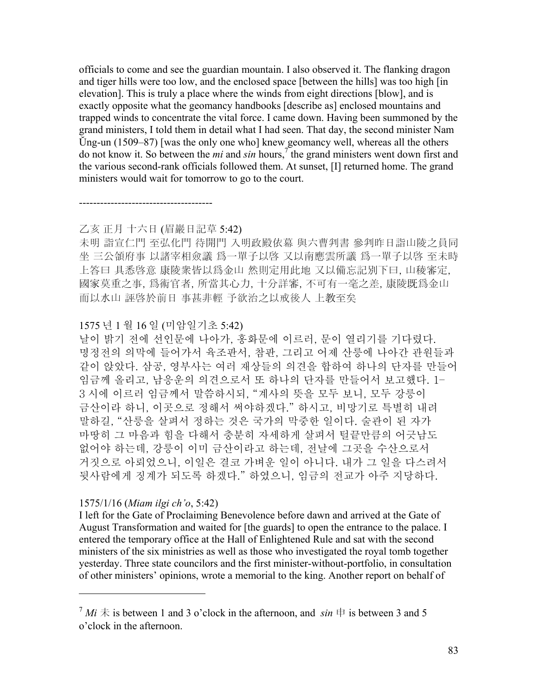officials to come and see the guardian mountain. I also observed it. The flanking dragon and tiger hills were too low, and the enclosed space [between the hills] was too high [in elevation]. This is truly a place where the winds from eight directions [blow], and is exactly opposite what the geomancy handbooks [describe as] enclosed mountains and trapped winds to concentrate the vital force. I came down. Having been summoned by the grand ministers, I told them in detail what I had seen. That day, the second minister Nam Ŭng-un (1509–87) [was the only one who] knew geomancy well, whereas all the others do not know it. So between the *mi* and *sin* hours,<sup>7</sup> the grand ministers went down first and the various second-rank officials followed them. At sunset, [I] returned home. The grand ministers would wait for tomorrow to go to the court.

# --------------------------------------

### 乙亥 正月 十六日 (眉巖日記草 5:42)

未明 詣宣仁門 至弘化門 待開門 入明政殿依幕 與六曹判書 參判昨日詣山陵之員同 坐 三公領府事 以諸宰相僉議 爲一單子以啓 又以南應雲所議 爲一單子以啓 至未時 上答曰 具悉啓意 康陵衆皆以爲金山 然則定用此地 又以備忘記別下曰, 山稜審定, 國家莫重之事, 爲術官者, 所當其心力, 十分詳審, 不可有一毫之差, 康陵既爲金山 而以水山 誣啓於前日 事甚非輕 予欲治之以戒後人 上教至矣

# 1575 년 1 월 16 일 (미암일기초 5:42)

날이 밝기 전에 선인문에 나아가, 홍화문에 이르러, 문이 열리기를 기다렸다. 명정전의 의막에 들어가서 육조판서, 참판, 그리고 어제 산릉에 나아간 관원들과 같이 앉았다. 삼공, 영부사는 여러 재상들의 의견을 합하여 하나의 단자를 만들어 임금께 올리고, 남응운의 의견으로서 또 하나의 단자를 만들어서 보고했다. 1– 3 시에 이르러 임금께서 말씀하시되, "계사의 뜻을 모두 보니, 모두 강릉이 금산이라 하니, 이곳으로 정해서 써야하겠다." 하시고, 비망기로 특별히 내려 말하길, "산릉을 살펴서 정하는 것은 국가의 막중한 일이다. 술관이 된 자가 마땅히 그 마음과 힘을 다해서 충분히 자세하게 살펴서 털끝만큼의 어긋남도 없어야 하는데, 강릉이 이미 금산이라고 하는데, 전날에 그곳을 수산으로서 거짓으로 아뢰었으니, 이일은 결코 가벼운 일이 아니다. 내가 그 일을 다스려서 뒷사람에게 징계가 되도록 하겠다." 하였으니, 임금의 전교가 아주 지당하다.

#### 1575/1/16 (*Miam ilgi ch'o*, 5:42)

1

I left for the Gate of Proclaiming Benevolence before dawn and arrived at the Gate of August Transformation and waited for [the guards] to open the entrance to the palace. I entered the temporary office at the Hall of Enlightened Rule and sat with the second ministers of the six ministries as well as those who investigated the royal tomb together yesterday. Three state councilors and the first minister-without-portfolio, in consultation of other ministers' opinions, wrote a memorial to the king. Another report on behalf of

 $7$  *Mi*  $\pm$  is between 1 and 3 o'clock in the afternoon, and *sin*  $\pm$  is between 3 and 5 o'clock in the afternoon.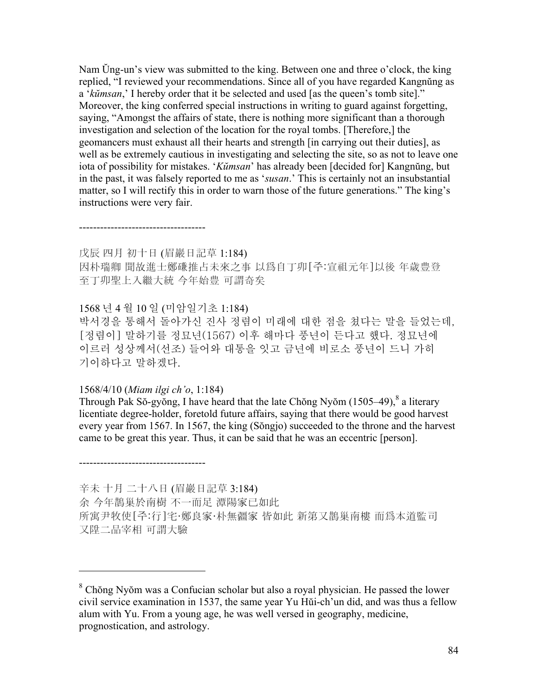Nam Ŭng-un's view was submitted to the king. Between one and three o'clock, the king replied, "I reviewed your recommendations. Since all of you have regarded Kangnŭng as a '*kŭmsan*,' I hereby order that it be selected and used [as the queen's tomb site]." Moreover, the king conferred special instructions in writing to guard against forgetting, saying, "Amongst the affairs of state, there is nothing more significant than a thorough investigation and selection of the location for the royal tombs. [Therefore,] the geomancers must exhaust all their hearts and strength [in carrying out their duties], as well as be extremely cautious in investigating and selecting the site, so as not to leave one iota of possibility for mistakes. '*Kŭmsan*' has already been [decided for] Kangnŭng, but in the past, it was falsely reported to me as '*susan*.' This is certainly not an insubstantial matter, so I will rectify this in order to warn those of the future generations." The king's instructions were very fair.

#### ------------------------------------

戊辰 四月 初十日 (眉巖日記草 1:184) 因朴瑞卿 聞故進士鄭磏推占未來之事 以爲自丁卯[주:宣祖元年]以後 年歲豊登 至丁卯聖上入繼大統 今年始豊 可謂奇矣

# 1568 년 4 월 10 일 (미암일기초 1:184)

박서경을 통해서 돌아가신 진사 정렴이 미래에 대한 점을 쳤다는 말을 들었는데, [정렴이] 말하기를 정묘년(1567) 이후 해마다 풍년이 든다고 했다. 정묘년에 이르러 성상께서(선조) 들어와 대통을 잇고 금년에 비로소 풍년이 드니 가히 기이하다고 말하겠다.

#### 1568/4/10 (*Miam ilgi ch'o*, 1:184)

Through Pak Sŏ-gyŏng, I have heard that the late Chŏng Nyŏm  $(1505-49)$ ,  $\delta$  a literary licentiate degree-holder, foretold future affairs, saying that there would be good harvest every year from 1567. In 1567, the king (Sŏngjo) succeeded to the throne and the harvest came to be great this year. Thus, it can be said that he was an eccentric [person].

------------------------------------

1

辛未 十月 二十八日 (眉巖日記草 3:184) 余 今年鵲巢於南樹 不一而足 潭陽家已如此 所寓尹牧使[주:行]宅·鄭良家·朴無疆家 皆如此 新第又鵲巢南樓 而爲本道監司 又陞二品宰相 可謂大驗

<sup>&</sup>lt;sup>8</sup> Chŏng Nyŏm was a Confucian scholar but also a royal physician. He passed the lower civil service examination in 1537, the same year Yu Hŭi-ch'un did, and was thus a fellow alum with Yu. From a young age, he was well versed in geography, medicine, prognostication, and astrology.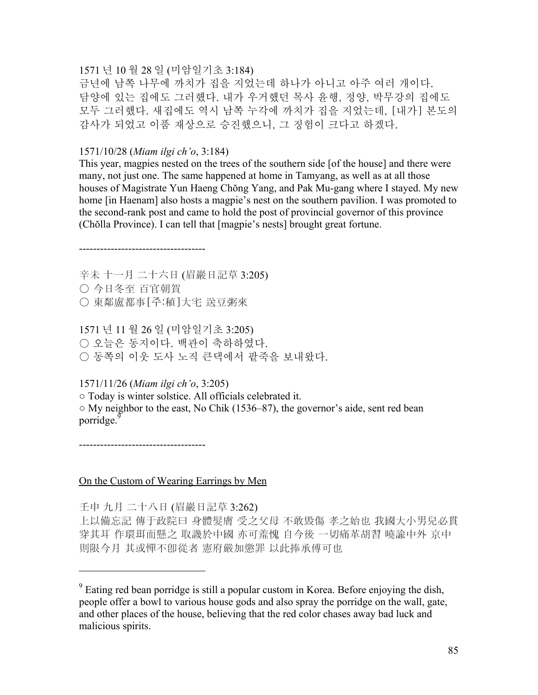#### 1571 년 10 월 28 일 (미암일기초 3:184)

금년에 남쪽 나무에 까치가 집을 지었는데 하나가 아니고 아주 여러 개이다. 담양에 있는 집에도 그러했다. 내가 우거했던 목사 윤행, 정양, 박무강의 집에도 모두 그러했다. 새집에도 역시 남쪽 누각에 까치가 집을 지었는데, [내가] 본도의 감사가 되었고 이품 재상으로 승진했으니, 그 징험이 크다고 하겠다.

#### 1571/10/28 (*Miam ilgi ch'o*, 3:184)

This year, magpies nested on the trees of the southern side [of the house] and there were many, not just one. The same happened at home in Tamyang, as well as at all those houses of Magistrate Yun Haeng Chŏng Yang, and Pak Mu-gang where I stayed. My new home [in Haenam] also hosts a magpie's nest on the southern pavilion. I was promoted to the second-rank post and came to hold the post of provincial governor of this province (Chŏlla Province). I can tell that [magpie's nests] brought great fortune.

#### ------------------------------------

辛未 十一月 二十六日 (眉巖日記草 3:205) ○ 今日冬至 百官朝賀 ○ 東鄰盧都事[주:稙]大宅 送豆粥來

1571 년 11 월 26 일 (미암일기초 3:205) ○ 오늘은 동지이다. 백관이 축하하였다. ○ 동쪽의 이웃 도사 노직 큰댁에서 팥죽을 보내왔다.

### 1571/11/26 (*Miam ilgi ch'o*, 3:205)

○ Today is winter solstice. All officials celebrated it. ○ My neighbor to the east, No Chik (1536–87), the governor's aide, sent red bean porridge.<sup>9</sup>

------------------------------------

 $\overline{a}$ 

# On the Custom of Wearing Earrings by Men

壬申 九月 二十八日 (眉巖日記草 3:262)

上以備忘記 傳于政院曰 身體髮膚 受之父母 不敢毁傷 孝之始也 我國大小男兒必貫 穿其耳 作環珥而懸之 取譏於中國 亦可羞愧 自今後 一切痛革胡習 曉諭中外 京中 則限今月 其或憚不卽從者 憲府嚴加懲罪 以此捧承傅可也

 $9^9$  Eating red bean porridge is still a popular custom in Korea. Before enjoying the dish, people offer a bowl to various house gods and also spray the porridge on the wall, gate, and other places of the house, believing that the red color chases away bad luck and malicious spirits.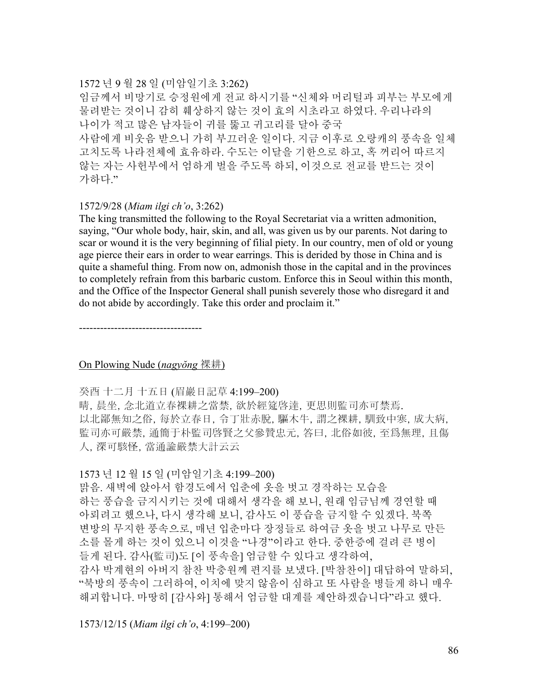# 1572 년 9 월 28 일 (미암일기초 3:262)

임금께서 비망기로 승정원에게 전교 하시기를 "신체와 머리털과 피부는 부모에게 물려받는 것이니 감히 훼상하지 않는 것이 효의 시초라고 하였다. 우리나라의 나이가 적고 많은 남자들이 귀를 뚫고 귀고리를 달아 중국 사람에게 비웃음 받으니 가히 부끄러운 일이다. 지금 이후로 오랑캐의 풍속을 일체 고치도록 나라전체에 효유하라. 수도는 이달을 기한으로 하고, 혹 꺼리어 따르지 않는 자는 사헌부에서 엄하게 벌을 주도록 하되, 이것으로 전교를 받드는 것이 가하다."

#### 1572/9/28 (*Miam ilgi ch'o*, 3:262)

The king transmitted the following to the Royal Secretariat via a written admonition, saying, "Our whole body, hair, skin, and all, was given us by our parents. Not daring to scar or wound it is the very beginning of filial piety. In our country, men of old or young age pierce their ears in order to wear earrings. This is derided by those in China and is quite a shameful thing. From now on, admonish those in the capital and in the provinces to completely refrain from this barbaric custom. Enforce this in Seoul within this month, and the Office of the Inspector General shall punish severely those who disregard it and do not abide by accordingly. Take this order and proclaim it."

-----------------------------------

# On Plowing Nude (*nagyŏng* 裸耕)

#### 癸酉 十二月 十五日 (眉巖日記草 4:199–200)

晴, 晨坐, 念北道立春裸耕之當禁, 欲於經筵啓達, 更思則監司亦可禁焉. 以北鄙無知之俗, 每於立春日, 令丁壯赤脫, 驅木牛, 謂之裸耕, 馴致中寒, 成大病, 監司亦可嚴禁, 通簡于朴監司啓賢之父參贊忠元, 答曰, 北俗如彼, 至爲無理, 且傷 人, 深可駭怪, 當通諭嚴禁大計云云

#### 1573 년 12 월 15 일 (미암일기초 4:199–200)

맑음. 새벽에 앉아서 함경도에서 입춘에 옷을 벗고 경작하는 모습을 하는 풍습을 금지시키는 것에 대해서 생각을 해 보니, 원래 임금님께 경연할 때 아뢰려고 했으나, 다시 생각해 보니, 감사도 이 풍습을 금지할 수 있겠다. 북쪽 변방의 무지한 풍속으로, 매년 입춘마다 장정들로 하여금 옷을 벗고 나무로 만든 소를 몰게 하는 것이 있으니 이것을 "나경"이라고 한다. 중한증에 걸려 큰 병이 들게 된다. 감사(監司)도 [이 풍속을] 엄금할 수 있다고 생각하여, 감사 박계현의 아버지 참찬 박충원께 편지를 보냈다. [박참찬이] 대답하여 말하되, "북방의 풍속이 그러하여, 이치에 맞지 않음이 심하고 또 사람을 병들게 하니 매우 해괴합니다. 마땅히 [감사와] 통해서 엄금할 대계를 제안하겠습니다"라고 했다.

1573/12/15 (*Miam ilgi ch'o*, 4:199–200)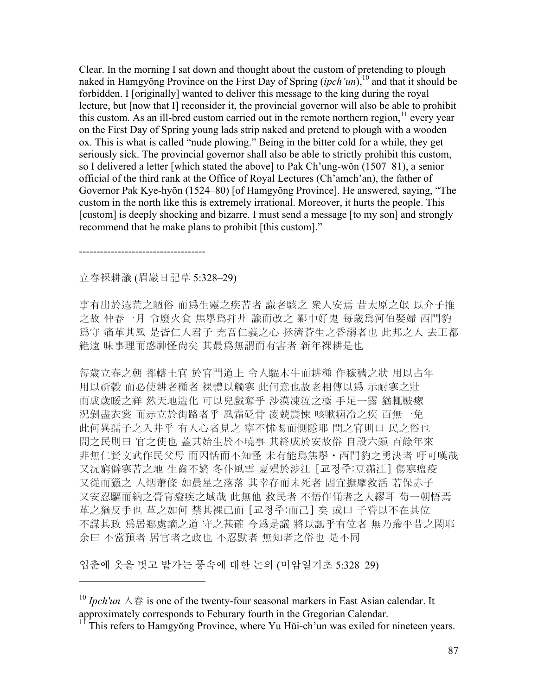Clear. In the morning I sat down and thought about the custom of pretending to plough naked in Hamgyŏng Province on the First Day of Spring (*ipch'un*),<sup>10</sup> and that it should be forbidden. I [originally] wanted to deliver this message to the king during the royal lecture, but [now that I] reconsider it, the provincial governor will also be able to prohibit this custom. As an ill-bred custom carried out in the remote northern region,  $\frac{11}{11}$  every year on the First Day of Spring young lads strip naked and pretend to plough with a wooden ox. This is what is called "nude plowing." Being in the bitter cold for a while, they get seriously sick. The provincial governor shall also be able to strictly prohibit this custom, so I delivered a letter [which stated the above] to Pak Ch'ung-wŏn (1507–81), a senior official of the third rank at the Office of Royal Lectures (Ch'amch'an), the father of Governor Pak Kye-hyŏn (1524–80) [of Hamgyŏng Province]. He answered, saying, "The custom in the north like this is extremely irrational. Moreover, it hurts the people. This [custom] is deeply shocking and bizarre. I must send a message [to my son] and strongly recommend that he make plans to prohibit [this custom]."

------------------------------------

 $\overline{a}$ 

# 立春裸耕議 (眉巖日記草 5:328–29)

事有出於遐荒之陋俗 而爲生靈之疾苦者 識者駭之 衆人安焉 昔太原之氓 以介子推 之故 仲春一月 令廢火食 焦擧爲幷州 諭而改之 鄴中好鬼 每歲爲河伯娶婦 西門豹 爲守 痛革其風 是皆仁人君子 充吾仁義之心 拯濟蒼生之昏溺者也 此邦之人 去王都 絶遠 昧事理而惑神怪尙矣 其最爲無謂而有害者 新年裸耕是也

每歲立春之朝 都轄土官 於官門道上 令人驅木牛而耕種 作稼穡之狀 用以占年 用以祈穀 而必使耕者種者 裸體以觸寒 此何意也故老相傳以爲 示耐寒之壯 而成歲暖之祥 然天地造化 可以兒戲奪乎 沙漠凍沍之極 手足一露 猶輒皸瘃 況剝盡衣裳 而赤立於街路者乎 風霜砭骨 凌兢震悚 咳嗽痼冷之疾 百無一免 此何異孺子之入井乎 有人心者見之 寧不怵惕而惻隱耶 問之官則曰 民之俗也 問之民則曰 官之使也 蓋其始生於不曉事 其終成於安故俗 自設六鎭 百餘年來 非無仁賢文武作民父母 而因恬而不知怪 未有能爲焦擧・西門豹之勇決者 吁可嘆哉 又況窮僻寒苦之地 生齒不繁 冬仆風雪 夏殞於涉江 [교정주:豆滿江] 傷寒瘟疫 又從而獵之 人烟蕭條 如晨星之落落 其幸存而未死者 固宜撫摩救活 若保赤子 又安忍驅而納之膏肓癈疾之域哉 此無他 救民者 不悟作俑者之大繆耳 苟一朝悟焉 革之猶反手也 革之如何 禁其裸已而 [교정주:而己] 矣 或曰 子嘗以不在其位 不謀其政 爲居鄕處謫之道 守之甚確 今爲是議 將以諷乎有位者 無乃踰平昔之閑耶 余曰 不當預者 居官者之政也 不忍默者 無知者之俗也 是不同

입춘에 옷을 벗고 밭가는 풍속에 대한 논의 (미암일기초 5:328–29)

<sup>10</sup> *Ipch'un* 入春 is one of the twenty-four seasonal markers in East Asian calendar. It approximately corresponds to Feburary fourth in the Gregorian Calendar.

 $11$ <sup>II</sup> This refers to Hamgyŏng Province, where Yu Hŭi-ch'un was exiled for nineteen years.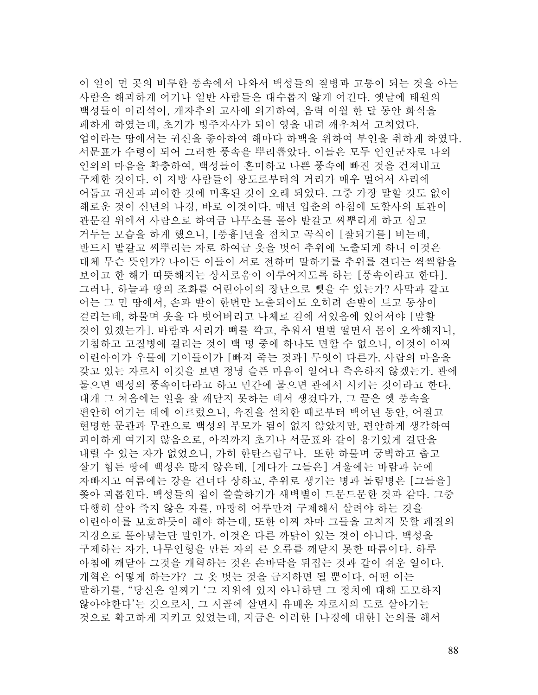이 일이 먼 곳의 비루한 풍속에서 나와서 백성들의 질병과 고통이 되는 것을 아는 사람은 해괴하게 여기나 일반 사람들은 대수롭지 않게 여긴다. 옛날에 태원의 백성들이 어리석어, 개자추의 고사에 의거하여, 음력 이월 한 달 동안 화식을 폐하게 하였는데, 초거가 병주자사가 되어 영을 내려 깨우쳐서 고치었다. 업이라는 땅에서는 귀신을 좋아하여 해마다 하백을 위하여 부인을 취하게 하였다. 서문표가 수령이 되어 그러한 풍속을 뿌리뽑았다. 이들은 모두 인인군자로 나의 인의의 마음을 확충하여, 백성들이 혼미하고 나쁜 풍속에 빠진 것을 건져내고 구제한 것이다. 이 지방 사람들이 왕도로부터의 거리가 매우 멀어서 사리에 어둡고 귀신과 괴이한 것에 미혹된 것이 오래 되었다. 그중 가장 말할 것도 없이 해로운 것이 신년의 나경, 바로 이것이다. 매년 입춘의 아침에 도할사의 토관이 관문길 위에서 사람으로 하여금 나무소를 몰아 밭갈고 씨뿌리게 하고 심고 거두는 모습을 하게 했으니, [풍흉]년을 점치고 곡식이 [잘되기를] 비는데, 반드시 밭갈고 씨뿌리는 자로 하여금 옷을 벗어 추위에 노출되게 하니 이것은 대체 무슨 뜻인가? 나이든 이들이 서로 전하며 말하기를 추위를 견디는 씩씩함을 보이고 한 해가 따뜻해지는 상서로움이 이루어지도록 하는 [풍속이라고 한다]. 그러나, 하늘과 땅의 조화를 어린아이의 장난으로 뺏을 수 있는가? 사막과 같고 어는 그 먼 땅에서, 손과 발이 한번만 노출되어도 오히려 손발이 트고 동상이 걸리는데, 하물며 옷을 다 벗어버리고 나체로 길에 서있음에 있어서야 [말할 것이 있겠는가]. 바람과 서리가 뼈를 깍고, 추워서 벌벌 떨면서 몸이 오싹해지니, 기침하고 고질병에 걸리는 것이 백 명 중에 하나도 면할 수 없으니, 이것이 어찌 어린아이가 우물에 기어들어가 [빠져 죽는 것과] 무엇이 다른가. 사람의 마음을 갖고 있는 자로서 이것을 보면 정녕 슬픈 마음이 일어나 측은하지 않겠는가. 관에 물으면 백성의 풍속이다라고 하고 민간에 물으면 관에서 시키는 것이라고 한다. 대개 그 처음에는 일을 잘 깨닫지 못하는 데서 생겼다가, 그 끝은 옛 풍속을 편안히 여기는 데에 이르렀으니, 육진을 설치한 때로부터 백여년 동안, 어질고 현명한 문관과 무관으로 백성의 부모가 됨이 없지 않았지만, 편안하게 생각하여 괴이하게 여기지 않음으로, 아직까지 초거나 서문표와 같이 용기있게 결단을 내릴 수 있는 자가 없었으니, 가히 한탄스럽구나. 또한 하물며 궁벽하고 춥고 살기 힘든 땅에 백성은 많지 않은데, [게다가 그들은] 겨울에는 바람과 눈에 자빠지고 여름에는 강을 건너다 상하고, 추위로 생기는 병과 돌림병은 [그들을] 쫒아 괴롭힌다. 백성들의 집이 쓸쓸하기가 새벽별이 드문드문한 것과 같다. 그중 다행히 살아 죽지 않은 자를, 마땅히 어루만져 구제해서 살려야 하는 것을 어린아이를 보호하듯이 해야 하는데, 또한 어찌 차마 그들을 고치지 못할 폐질의 지경으로 몰아넣는단 말인가. 이것은 다른 까닭이 있는 것이 아니다. 백성을 구제하는 자가, 나무인형을 만든 자의 큰 오류를 깨닫지 못한 따름이다. 하루 아침에 깨닫아 그것을 개혁하는 것은 손바닥을 뒤집는 것과 같이 쉬운 일이다. 개혁은 어떻게 하는가? 그 옷 벗는 것을 금지하면 될 뿐이다. 어떤 이는 말하기를, "당신은 일찌기 '그 지위에 있지 아니하면 그 정치에 대해 도모하지 않아야한다'는 것으로서, 그 시골에 살면서 유배온 자로서의 도로 살아가는 것으로 확고하게 지키고 있었는데, 지금은 이러한 [나경에 대한] 논의를 해서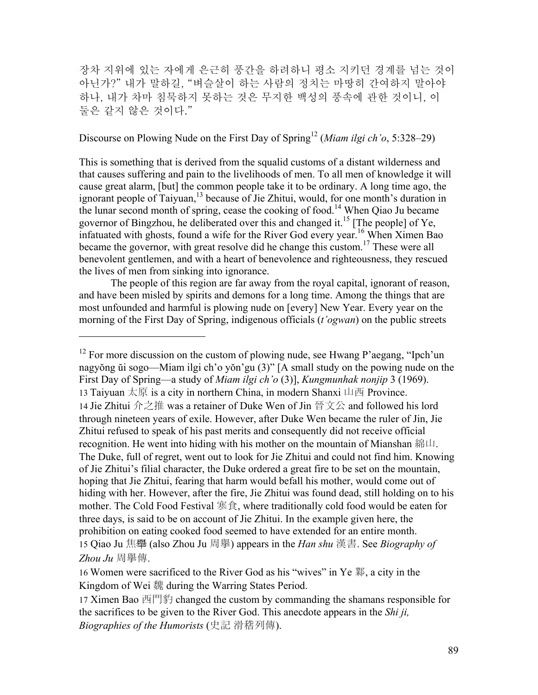장차 지위에 있는 자에게 은근히 풍간을 하려하니 평소 지키던 경계를 넘는 것이 아닌가?" 내가 말하길, "벼슬살이 하는 사람의 정치는 마땅히 간여하지 말아야 하나, 내가 차마 침묵하지 못하는 것은 무지한 백성의 풍속에 관한 것이니, 이 둘은 같지 않은 것이다."

# Discourse on Plowing Nude on the First Day of Spring<sup>12</sup> (*Miam ilgi ch'o*, 5:328–29)

This is something that is derived from the squalid customs of a distant wilderness and that causes suffering and pain to the livelihoods of men. To all men of knowledge it will cause great alarm, [but] the common people take it to be ordinary. A long time ago, the ignorant people of Taiyuan,<sup>13</sup> because of Jie Zhitui, would, for one month's duration in the lunar second month of spring, cease the cooking of food.<sup>14</sup> When Qiao Ju became governor of Bingzhou, he deliberated over this and changed it.15 [The people] of Ye, infatuated with ghosts, found a wife for the River God every year.<sup>16</sup> When Ximen Bao became the governor, with great resolve did he change this custom.<sup>17</sup> These were all benevolent gentlemen, and with a heart of benevolence and righteousness, they rescued the lives of men from sinking into ignorance.

The people of this region are far away from the royal capital, ignorant of reason, and have been misled by spirits and demons for a long time. Among the things that are most unfounded and harmful is plowing nude on [every] New Year. Every year on the morning of the First Day of Spring, indigenous officials (*t'ogwan*) on the public streets

<sup>&</sup>lt;sup>12</sup> For more discussion on the custom of plowing nude, see Hwang P'aegang, "Ipch'un nagyŏng ŭi sogo—Miam ilgi ch'o yŏn'gu (3)" [A small study on the powing nude on the First Day of Spring—a study of *Miam ilgi ch'o* (3)], *Kungmunhak nonjip* 3 (1969). 13 Taiyuan 太原 is a city in northern China, in modern Shanxi 山西 Province. 14 Jie Zhitui 介之推 was a retainer of Duke Wen of Jin 晉文公 and followed his lord through nineteen years of exile. However, after Duke Wen became the ruler of Jin, Jie Zhitui refused to speak of his past merits and consequently did not receive official recognition. He went into hiding with his mother on the mountain of Mianshan 綿山. The Duke, full of regret, went out to look for Jie Zhitui and could not find him. Knowing of Jie Zhitui's filial character, the Duke ordered a great fire to be set on the mountain, hoping that Jie Zhitui, fearing that harm would befall his mother, would come out of hiding with her. However, after the fire, Jie Zhitui was found dead, still holding on to his mother. The Cold Food Festival 寒食, where traditionally cold food would be eaten for three days, is said to be on account of Jie Zhitui. In the example given here, the prohibition on eating cooked food seemed to have extended for an entire month. 15 Qiao Ju 焦舉 (also Zhou Ju 周擧) appears in the *Han shu* 漢書. See *Biography of Zhou Ju* 周擧傳.

<sup>16</sup> Women were sacrificed to the River God as his "wives" in Ye 鄴, a city in the Kingdom of Wei 魏 during the Warring States Period.

<sup>17</sup> Ximen Bao 西門豹 changed the custom by commanding the shamans responsible for the sacrifices to be given to the River God. This anecdote appears in the *Shi ji, Biographies of the Humorists* (史記 滑稽列傳).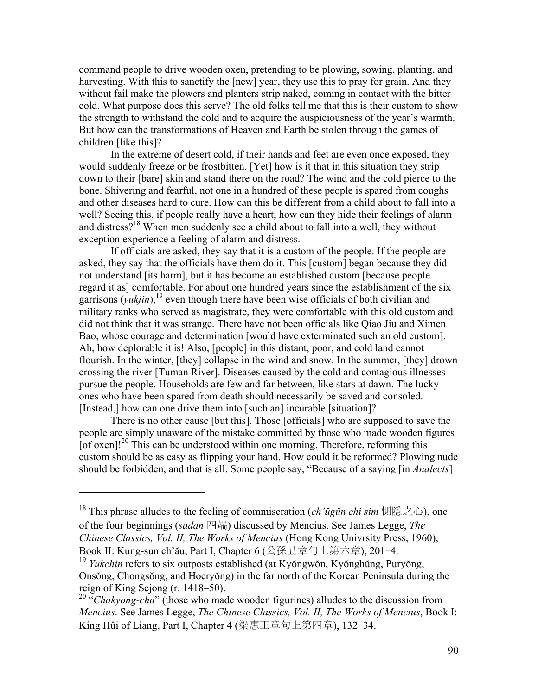command people to drive wooden oxen, pretending to be plowing, sowing, planting, and harvesting. With this to sanctify the [new] year, they use this to pray for grain. And they without fail make the plowers and planters strip naked, coming in contact with the bitter cold. What purpose does this serve? The old folks tell me that this is their custom to show the strength to withstand the cold and to acquire the auspiciousness of the year's warmth. But how can the transformations of Heaven and Earth be stolen through the games of children [like this]?

In the extreme of desert cold, if their hands and feet are even once exposed, they would suddenly freeze or be frostbitten. [Yet] how is it that in this situation they strip down to their [bare] skin and stand there on the road? The wind and the cold pierce to the bone. Shivering and fearful, not one in a hundred of these people is spared from coughs and other diseases hard to cure. How can this be different from a child about to fall into a well? Seeing this, if people really have a heart, how can they hide their feelings of alarm and distress?<sup>18</sup> When men suddenly see a child about to fall into a well, they without exception experience a feeling of alarm and distress.

If officials are asked, they say that it is a custom of the people. If the people are asked, they say that the officials have them do it. This [custom] began because they did not understand [its harm], but it has become an established custom [because people regard it as] comfortable. For about one hundred years since the establishment of the six garrisons  $(yukjin)$ ,<sup>19</sup> even though there have been wise officials of both civilian and military ranks who served as magistrate, they were comfortable with this old custom and did not think that it was strange. There have not been officials like Qiao Jiu and Ximen Bao, whose courage and determination [would have exterminated such an old custom]. Ah, how deplorable it is! Also, [people] in this distant, poor, and cold land cannot flourish. In the winter, [they] collapse in the wind and snow. In the summer, [they] drown crossing the river [Tuman River]. Diseases caused by the cold and contagious illnesses pursue the people. Households are few and far between, like stars at dawn. The lucky ones who have been spared from death should necessarily be saved and consoled. [Instead,] how can one drive them into [such an] incurable [situation]?

There is no other cause [but this]. Those [officials] who are supposed to save the people are simply unaware of the mistake committed by those who made wooden figures [of oxen]!<sup>20</sup> This can be understood within one morning. Therefore, reforming this custom should be as easy as flipping your hand. How could it be reformed? Plowing nude should be forbidden, and that is all. Some people say, "Because of a saying [in *Analects*]

<sup>18</sup> This phrase alludes to the feeling of commiseration (*ch'ŭgŭn chi sim* 惻隱之心), one of the four beginnings (*sadan* 四端) discussed by Mencius. See James Legge, *The Chinese Classics, Vol. II, The Works of Mencius* (Hong Kong Univrsity Press, 1960), Book II: Kung-sun ch'ău, Part I, Chapter 6 (公孫丑章句上第六章), 201–4.

<sup>19</sup> *Yukchin* refers to six outposts established (at Kyŏngwŏn, Kyŏnghŭng, Puryŏng, Onsŏng, Chongsŏng, and Hoeryŏng) in the far north of the Korean Peninsula during the reign of King Sejong (r. 1418–50).

<sup>&</sup>lt;sup>20</sup> "Chakyong-cha" (those who made wooden figurines) alludes to the discussion from *Mencius*. See James Legge, *The Chinese Classics, Vol. II, The Works of Mencius*, Book I: King Hûi of Liang, Part I, Chapter 4 (梁惠王章句上第四章), 132–34.